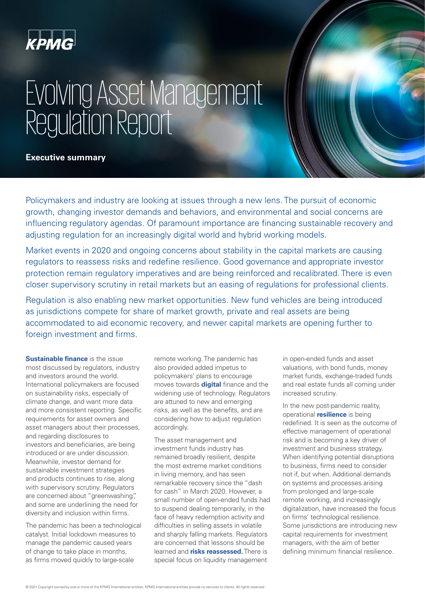

# Evolving Asset Management Regulation Report

**Executive summary**

Policymakers and industry are looking at issues through a new lens. The pursuit of economic growth, changing investor demands and behaviors, and environmental and social concerns are influencing regulatory agendas. Of paramount importance are financing sustainable recovery and adjusting regulation for an increasingly digital world and hybrid working models.

Market events in 2020 and ongoing concerns about stability in the capital markets are causing regulators to reassess risks and redefine resilience. Good governance and appropriate investor protection remain regulatory imperatives and are being reinforced and recalibrated. There is even closer supervisory scrutiny in retail markets but an easing of regulations for professional clients.

Regulation is also enabling new market opportunities. New fund vehicles are being introduced as jurisdictions compete for share of market growth, private and real assets are being accommodated to aid economic recovery, and newer capital markets are opening further to foreign investment and firms.

**Sustainable finance** is the issue most discussed by regulators, industry and investors around the world. International policymakers are focused on sustainability risks, especially of climate change, and want more data and more consistent reporting. Specific requirements for asset owners and asset managers about their processes, and regarding disclosures to investors and beneficiaries, are being introduced or are under discussion. Meanwhile, investor demand for sustainable investment strategies and products continues to rise, along with supervisory scrutiny. Regulators are concerned about "greenwashing", and some are underlining the need for diversity and inclusion within firms.

The pandemic has been a technological catalyst. Initial lockdown measures to manage the pandemic caused years of change to take place in months, as firms moved quickly to large-scale

remote working. The pandemic has also provided added impetus to policymakers' plans to encourage moves towards **digital** finance and the widening use of technology. Regulators are attuned to new and emerging risks, as well as the benefits, and are considering how to adjust regulation accordingly.

The asset management and investment funds industry has remained broadly resilient, despite the most extreme market conditions in living memory, and has seen remarkable recovery since the "dash for cash" in March 2020. However, a small number of open-ended funds had to suspend dealing temporarily, in the face of heavy redemption activity and difficulties in selling assets in volatile and sharply falling markets. Regulators are concerned that lessons should be learned and **risks reassessed.** There is special focus on liquidity management

in open-ended funds and asset valuations, with bond funds, money market funds, exchange-traded funds and real estate funds all coming under increased scrutiny.

In the new post-pandemic reality, operational **resilience** is being redefined. It is seen as the outcome of effective management of operational risk and is becoming a key driver of investment and business strategy. When identifying potential disruptions to business, firms need to consider not if, but when. Additional demands on systems and processes arising from prolonged and large-scale remote working, and increasingly digitalization, have increased the focus on firms' technological resilience. Some jurisdictions are introducing new capital requirements for investment managers, with the aim of better defining minimum financial resilience.